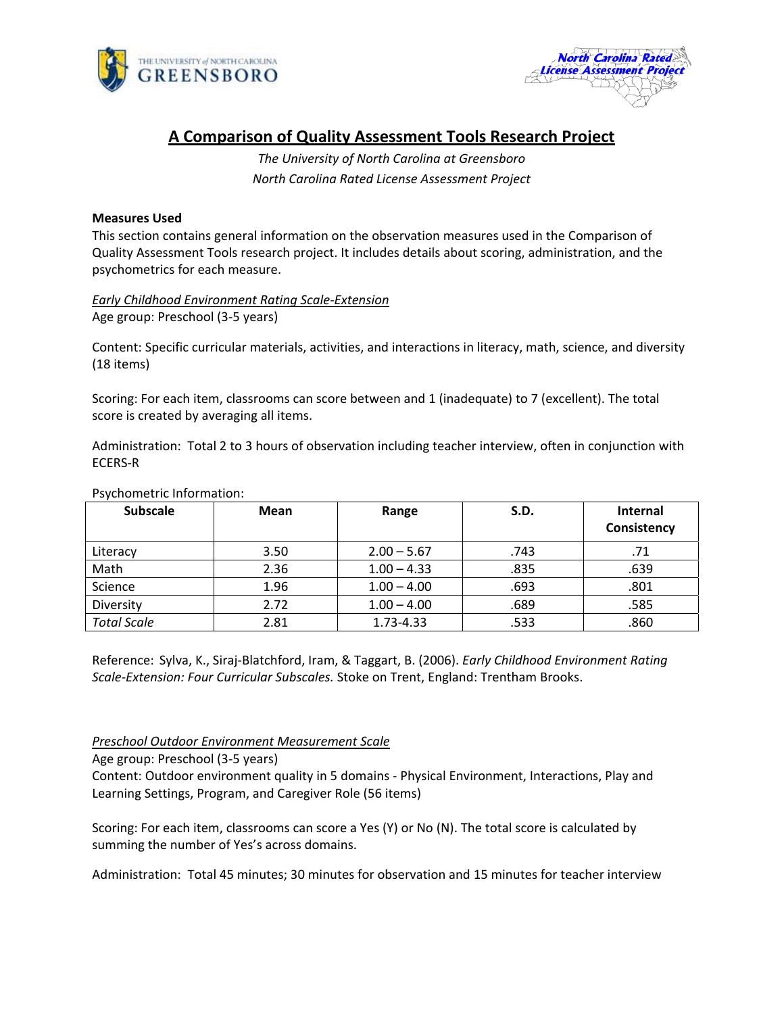



# **A Comparison of Quality Assessment Tools Research Project**

*The University of North Carolina at Greensboro North Carolina Rated License Assessment Project*

# **Measures Used**

This section contains general information on the observation measures used in the Comparison of Quality Assessment Tools research project. It includes details about scoring, administration, and the psychometrics for each measure.

*Early Childhood Environment Rating Scale‐Extension* Age group: Preschool (3‐5 years)

Content: Specific curricular materials, activities, and interactions in literacy, math, science, and diversity (18 items)

Scoring: For each item, classrooms can score between and 1 (inadequate) to 7 (excellent). The total score is created by averaging all items.

Administration: Total 2 to 3 hours of observation including teacher interview, often in conjunction with ECERS‐R

# Psychometric Information:

| <b>Subscale</b>    | Mean | Range         | S.D. | <b>Internal</b><br>Consistency |
|--------------------|------|---------------|------|--------------------------------|
| Literacy           | 3.50 | $2.00 - 5.67$ | .743 | .71                            |
| Math               | 2.36 | $1.00 - 4.33$ | .835 | .639                           |
| Science            | 1.96 | $1.00 - 4.00$ | .693 | .801                           |
| Diversity          | 2.72 | $1.00 - 4.00$ | .689 | .585                           |
| <b>Total Scale</b> | 2.81 | 1.73-4.33     | .533 | .860                           |

Reference: Sylva, K., Siraj‐Blatchford, Iram, & Taggart, B. (2006). *Early Childhood Environment Rating Scale‐Extension: Four Curricular Subscales.* Stoke on Trent, England: Trentham Brooks.

# *Preschool Outdoor Environment Measurement Scale*

Age group: Preschool (3‐5 years)

Content: Outdoor environment quality in 5 domains ‐ Physical Environment, Interactions, Play and Learning Settings, Program, and Caregiver Role (56 items)

Scoring: For each item, classrooms can score a Yes (Y) or No (N). The total score is calculated by summing the number of Yes's across domains.

Administration: Total 45 minutes; 30 minutes for observation and 15 minutes for teacher interview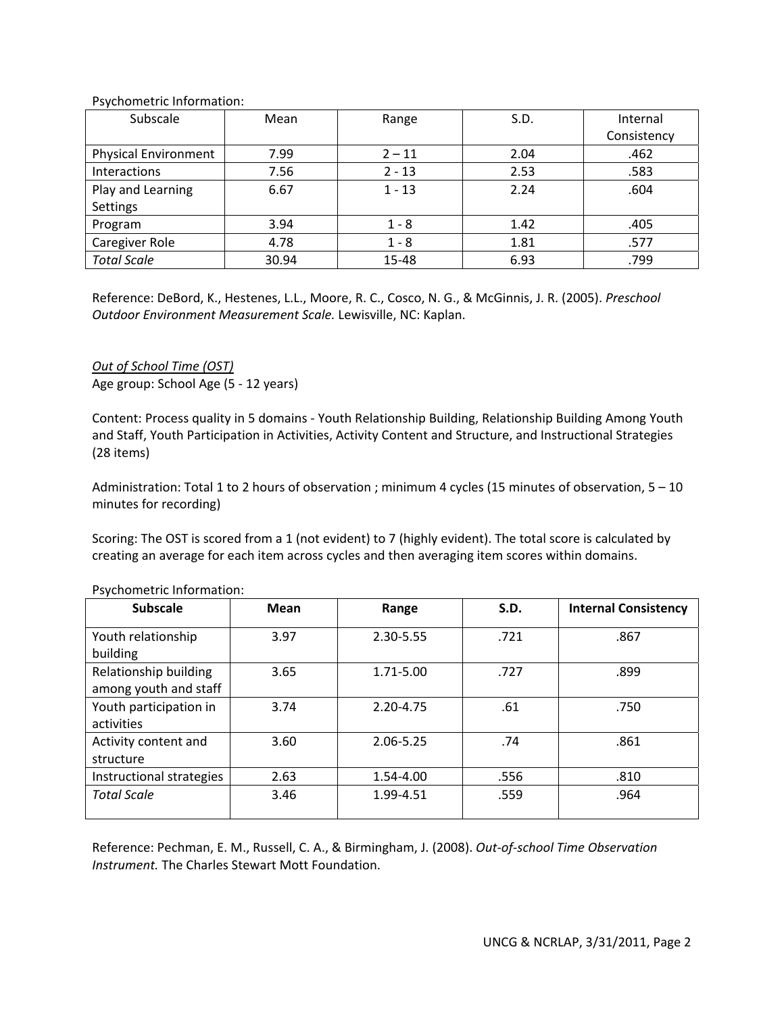Psychometric Information:

| Subscale                    | Mean  | Range    | S.D. | Internal    |
|-----------------------------|-------|----------|------|-------------|
|                             |       |          |      | Consistency |
| <b>Physical Environment</b> | 7.99  | $2 - 11$ | 2.04 | .462        |
| Interactions                | 7.56  | $2 - 13$ | 2.53 | .583        |
| Play and Learning           | 6.67  | $1 - 13$ | 2.24 | .604        |
| Settings                    |       |          |      |             |
| Program                     | 3.94  | $1 - 8$  | 1.42 | .405        |
| Caregiver Role              | 4.78  | $1 - 8$  | 1.81 | .577        |
| <b>Total Scale</b>          | 30.94 | 15-48    | 6.93 | .799        |

Reference: DeBord, K., Hestenes, L.L., Moore, R. C., Cosco, N. G., & McGinnis, J. R. (2005). *Preschool Outdoor Environment Measurement Scale.* Lewisville, NC: Kaplan.

*Out of School Time (OST)* Age group: School Age (5 ‐ 12 years)

Content: Process quality in 5 domains ‐ Youth Relationship Building, Relationship Building Among Youth and Staff, Youth Participation in Activities, Activity Content and Structure, and Instructional Strategies (28 items)

Administration: Total 1 to 2 hours of observation ; minimum 4 cycles (15 minutes of observation, 5 – 10 minutes for recording)

Scoring: The OST is scored from a 1 (not evident) to 7 (highly evident). The total score is calculated by creating an average for each item across cycles and then averaging item scores within domains.

| <b>Subscale</b>                                | <b>Mean</b> | Range     | S.D. | <b>Internal Consistency</b> |
|------------------------------------------------|-------------|-----------|------|-----------------------------|
| Youth relationship<br>building                 | 3.97        | 2.30-5.55 | .721 | .867                        |
| Relationship building<br>among youth and staff | 3.65        | 1.71-5.00 | .727 | .899                        |
| Youth participation in<br>activities           | 3.74        | 2.20-4.75 | .61  | .750                        |
| Activity content and<br>structure              | 3.60        | 2.06-5.25 | .74  | .861                        |
| Instructional strategies                       | 2.63        | 1.54-4.00 | .556 | .810                        |
| <b>Total Scale</b>                             | 3.46        | 1.99-4.51 | .559 | .964                        |

Psychometric Information:

Reference: Pechman, E. M., Russell, C. A., & Birmingham, J. (2008). *Out‐of‐school Time Observation Instrument.* The Charles Stewart Mott Foundation.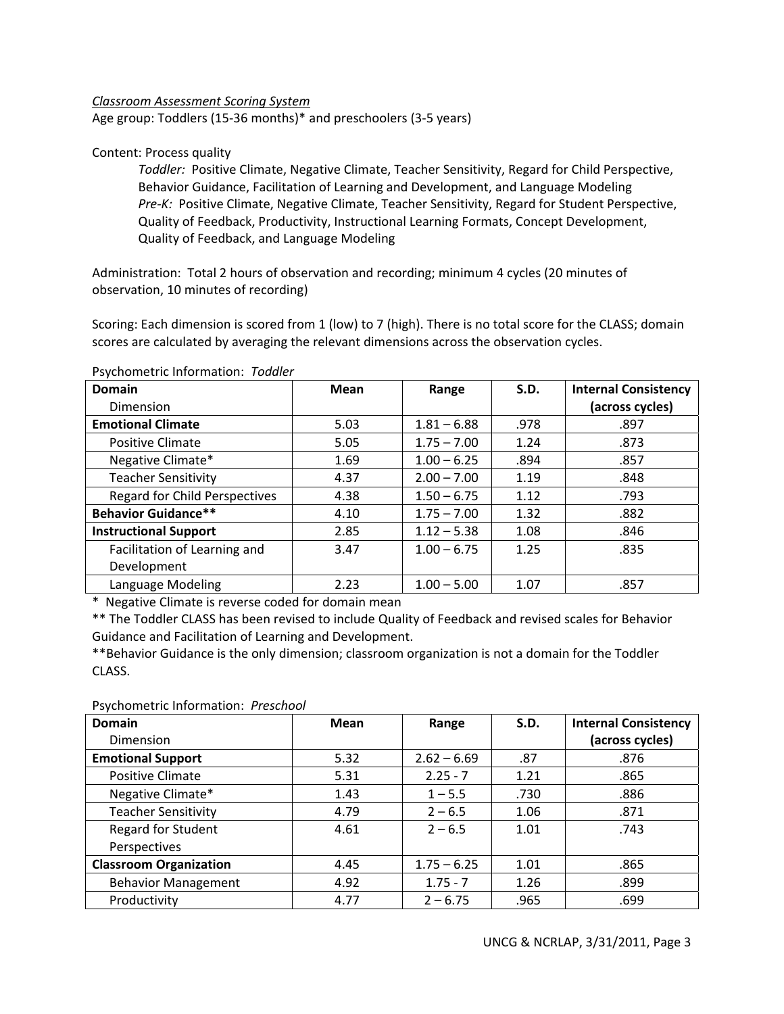# *Classroom Assessment Scoring System*

Age group: Toddlers (15‐36 months)\* and preschoolers (3‐5 years)

# Content: Process quality

*Toddler:* Positive Climate, Negative Climate, Teacher Sensitivity, Regard for Child Perspective, Behavior Guidance, Facilitation of Learning and Development, and Language Modeling *Pre‐K:* Positive Climate, Negative Climate, Teacher Sensitivity, Regard for Student Perspective, Quality of Feedback, Productivity, Instructional Learning Formats, Concept Development, Quality of Feedback, and Language Modeling

Administration: Total 2 hours of observation and recording; minimum 4 cycles (20 minutes of observation, 10 minutes of recording)

Scoring: Each dimension is scored from 1 (low) to 7 (high). There is no total score for the CLASS; domain scores are calculated by averaging the relevant dimensions across the observation cycles.

| <b>Domain</b>                        | Mean | Range         | S.D. | <b>Internal Consistency</b> |
|--------------------------------------|------|---------------|------|-----------------------------|
| Dimension                            |      |               |      | (across cycles)             |
| <b>Emotional Climate</b>             | 5.03 | $1.81 - 6.88$ | .978 | .897                        |
| <b>Positive Climate</b>              | 5.05 | $1.75 - 7.00$ | 1.24 | .873                        |
| Negative Climate*                    | 1.69 | $1.00 - 6.25$ | .894 | .857                        |
| <b>Teacher Sensitivity</b>           | 4.37 | $2.00 - 7.00$ | 1.19 | .848                        |
| <b>Regard for Child Perspectives</b> | 4.38 | $1.50 - 6.75$ | 1.12 | .793                        |
| <b>Behavior Guidance**</b>           | 4.10 | $1.75 - 7.00$ | 1.32 | .882                        |
| <b>Instructional Support</b>         | 2.85 | $1.12 - 5.38$ | 1.08 | .846                        |
| Facilitation of Learning and         | 3.47 | $1.00 - 6.75$ | 1.25 | .835                        |
| Development                          |      |               |      |                             |
| Language Modeling                    | 2.23 | $1.00 - 5.00$ | 1.07 | .857                        |

#### Psychometric Information: *Toddler*

\* Negative Climate is reverse coded for domain mean

\*\* The Toddler CLASS has been revised to include Quality of Feedback and revised scales for Behavior Guidance and Facilitation of Learning and Development.

\*\*Behavior Guidance is the only dimension; classroom organization is not a domain for the Toddler CLASS.

Psychometric Information: *Preschool*

| <b>Domain</b><br>Dimension    | Mean | Range         | S.D. | <b>Internal Consistency</b><br>(across cycles) |
|-------------------------------|------|---------------|------|------------------------------------------------|
| <b>Emotional Support</b>      | 5.32 | $2.62 - 6.69$ | .87  | .876                                           |
| Positive Climate              | 5.31 | $2.25 - 7$    | 1.21 | .865                                           |
| Negative Climate*             | 1.43 | $1 - 5.5$     | .730 | .886                                           |
| <b>Teacher Sensitivity</b>    | 4.79 | $2 - 6.5$     | 1.06 | .871                                           |
| <b>Regard for Student</b>     | 4.61 | $2 - 6.5$     | 1.01 | .743                                           |
| Perspectives                  |      |               |      |                                                |
| <b>Classroom Organization</b> | 4.45 | $1.75 - 6.25$ | 1.01 | .865                                           |
| <b>Behavior Management</b>    | 4.92 | $1.75 - 7$    | 1.26 | .899                                           |
| Productivity                  | 4.77 | $2 - 6.75$    | .965 | .699                                           |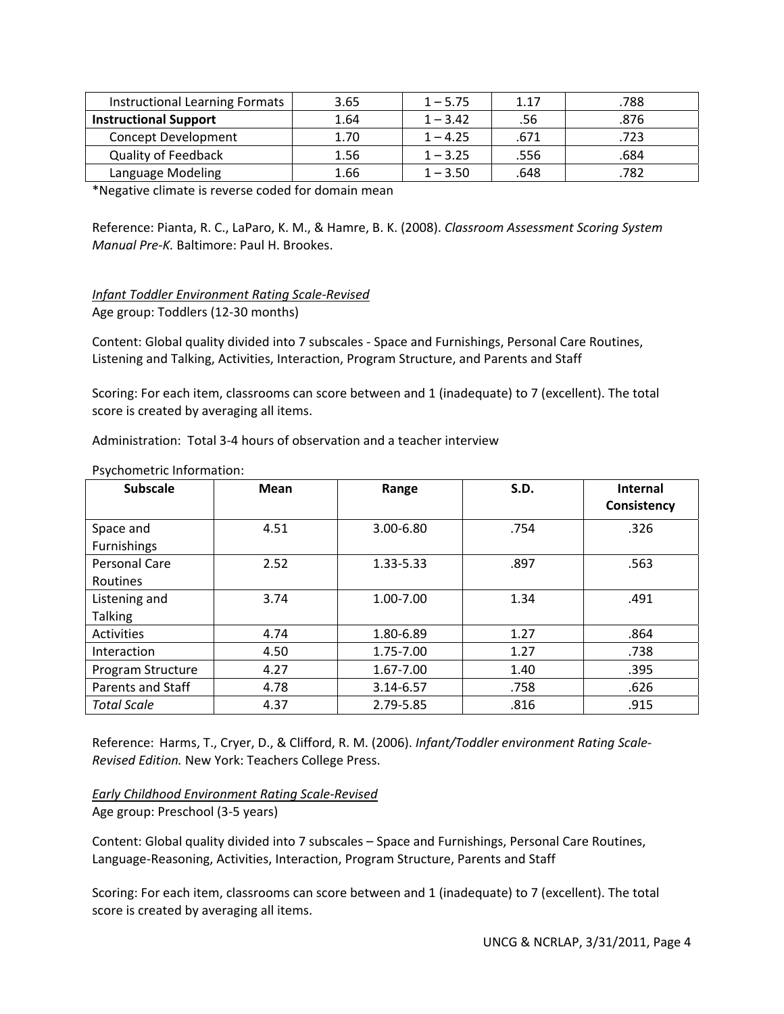| <b>Instructional Learning Formats</b> | 3.65 | $1 - 5.75$ | 1.17 | .788 |
|---------------------------------------|------|------------|------|------|
| <b>Instructional Support</b>          | 1.64 | $1 - 3.42$ | .56  | .876 |
| <b>Concept Development</b>            | 1.70 | $1 - 4.25$ | .671 | .723 |
| <b>Quality of Feedback</b>            | 1.56 | $1 - 3.25$ | .556 | .684 |
| Language Modeling                     | 1.66 | $1 - 3.50$ | .648 | .782 |

\*Negative climate is reverse coded for domain mean

Reference: Pianta, R. C., LaParo, K. M., & Hamre, B. K. (2008). *Classroom Assessment Scoring System Manual Pre‐K.* Baltimore: Paul H. Brookes.

*Infant Toddler Environment Rating Scale‐Revised* Age group: Toddlers (12‐30 months)

Content: Global quality divided into 7 subscales ‐ Space and Furnishings, Personal Care Routines, Listening and Talking, Activities, Interaction, Program Structure, and Parents and Staff

Scoring: For each item, classrooms can score between and 1 (inadequate) to 7 (excellent). The total score is created by averaging all items.

Administration: Total 3‐4 hours of observation and a teacher interview

| <b>Subscale</b>                  | <b>Mean</b> | Range     | S.D. | <b>Internal</b><br>Consistency |
|----------------------------------|-------------|-----------|------|--------------------------------|
| Space and<br>Furnishings         | 4.51        | 3.00-6.80 | .754 | .326                           |
| <b>Personal Care</b><br>Routines | 2.52        | 1.33-5.33 | .897 | .563                           |
| Listening and<br><b>Talking</b>  | 3.74        | 1.00-7.00 | 1.34 | .491                           |
| Activities                       | 4.74        | 1.80-6.89 | 1.27 | .864                           |
| Interaction                      | 4.50        | 1.75-7.00 | 1.27 | .738                           |
| Program Structure                | 4.27        | 1.67-7.00 | 1.40 | .395                           |
| Parents and Staff                | 4.78        | 3.14-6.57 | .758 | .626                           |
| <b>Total Scale</b>               | 4.37        | 2.79-5.85 | .816 | .915                           |

Psychometric Information:

Reference: Harms, T., Cryer, D., & Clifford, R. M. (2006). *Infant/Toddler environment Rating Scale‐ Revised Edition.* New York: Teachers College Press.

*Early Childhood Environment Rating Scale‐Revised* Age group: Preschool (3‐5 years)

Content: Global quality divided into 7 subscales – Space and Furnishings, Personal Care Routines, Language‐Reasoning, Activities, Interaction, Program Structure, Parents and Staff

Scoring: For each item, classrooms can score between and 1 (inadequate) to 7 (excellent). The total score is created by averaging all items.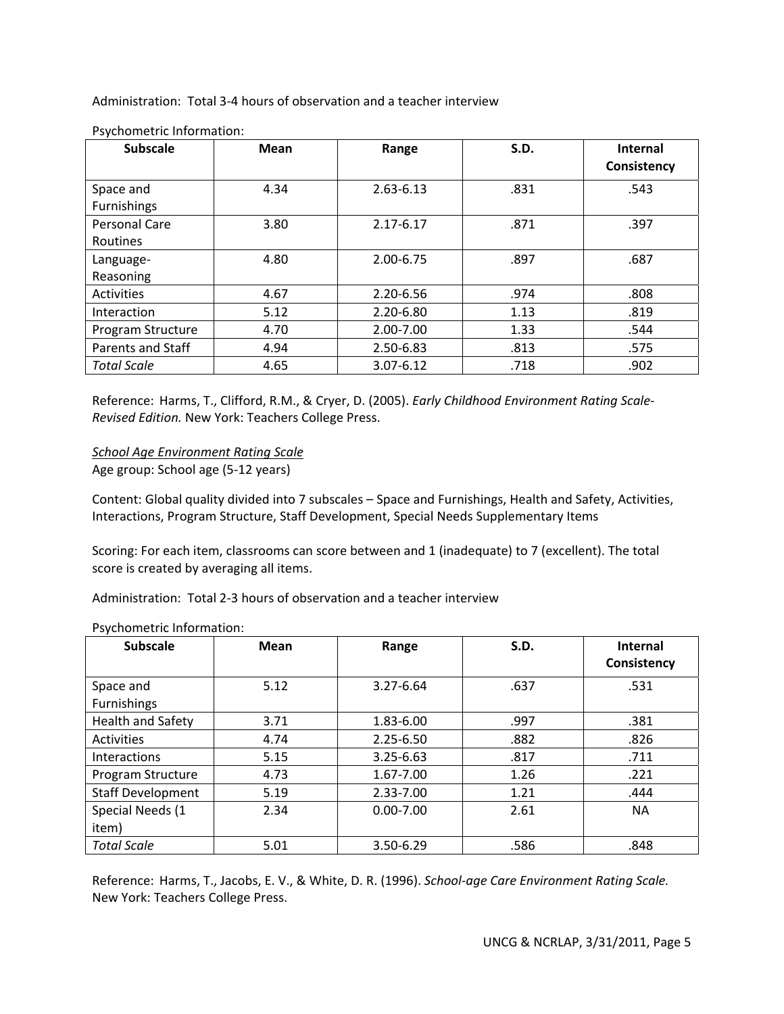Administration: Total 3‐4 hours of observation and a teacher interview

| <b>Subscale</b>                  | <b>Mean</b> | S.D.<br>Range |      | Internal<br>Consistency |
|----------------------------------|-------------|---------------|------|-------------------------|
| Space and<br>Furnishings         | 4.34        | $2.63 - 6.13$ | .831 | .543                    |
| <b>Personal Care</b><br>Routines | 3.80        | 2.17-6.17     | .871 | .397                    |
| Language-<br>Reasoning           | 4.80        | 2.00-6.75     | .897 | .687                    |
| Activities                       | 4.67        | 2.20-6.56     | .974 | .808                    |
| Interaction                      | 5.12        | 2.20-6.80     | 1.13 | .819                    |
| Program Structure                | 4.70        | 2.00-7.00     | 1.33 | .544                    |
| Parents and Staff                | 4.94        | 2.50-6.83     | .813 | .575                    |
| <b>Total Scale</b>               | 4.65        | $3.07 - 6.12$ | .718 | .902                    |

Psychometric Information:

Reference: Harms, T., Clifford, R.M., & Cryer, D. (2005). *Early Childhood Environment Rating Scale‐ Revised Edition.* New York: Teachers College Press.

*School Age Environment Rating Scale* Age group: School age (5‐12 years)

Content: Global quality divided into 7 subscales – Space and Furnishings, Health and Safety, Activities, Interactions, Program Structure, Staff Development, Special Needs Supplementary Items

Scoring: For each item, classrooms can score between and 1 (inadequate) to 7 (excellent). The total score is created by averaging all items.

Administration: Total 2‐3 hours of observation and a teacher interview

| <b>Subscale</b>          | Mean | Range         | S.D. | <b>Internal</b><br>Consistency |
|--------------------------|------|---------------|------|--------------------------------|
| Space and                | 5.12 | 3.27-6.64     | .637 | .531                           |
| Furnishings              |      |               |      |                                |
| <b>Health and Safety</b> | 3.71 | 1.83-6.00     | .997 | .381                           |
| Activities               | 4.74 | $2.25 - 6.50$ | .882 | .826                           |
| Interactions             | 5.15 | 3.25-6.63     | .817 | .711                           |
| Program Structure        | 4.73 | 1.67-7.00     | 1.26 | .221                           |
| <b>Staff Development</b> | 5.19 | $2.33 - 7.00$ | 1.21 | .444                           |
| Special Needs (1         | 2.34 | $0.00 - 7.00$ | 2.61 | <b>NA</b>                      |
| item)                    |      |               |      |                                |
| <b>Total Scale</b>       | 5.01 | 3.50-6.29     | .586 | .848                           |

# Psychometric Information:

Reference: Harms, T., Jacobs, E. V., & White, D. R. (1996). *School‐age Care Environment Rating Scale.* New York: Teachers College Press.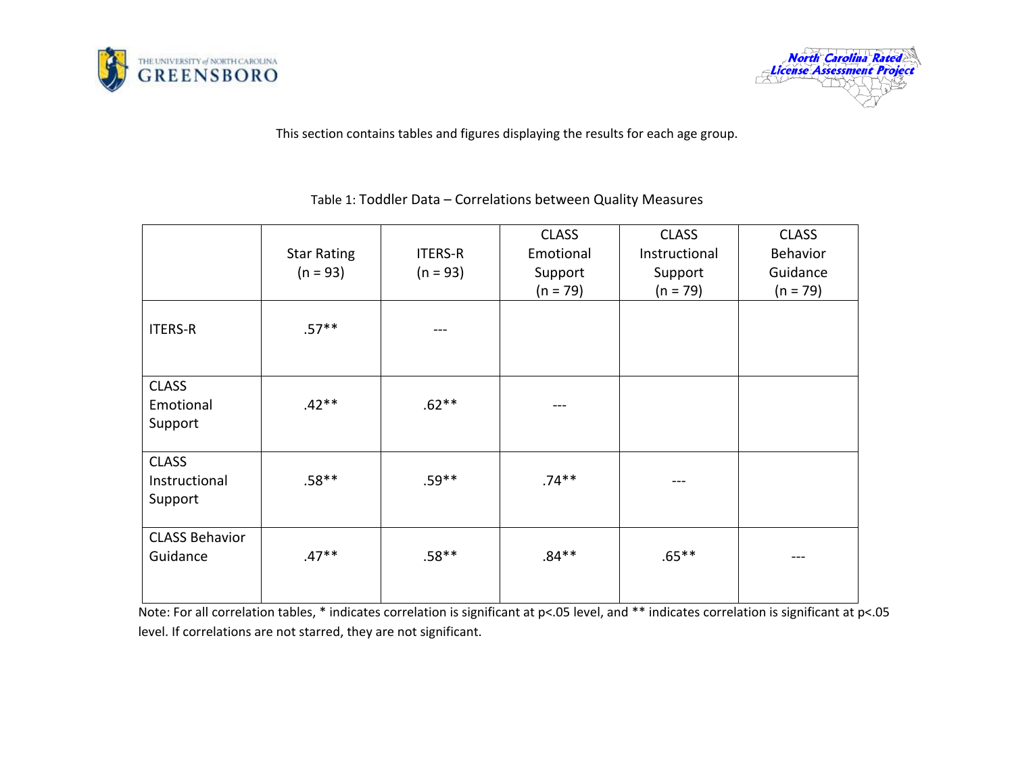



This section contains tables and figures displaying the results for each age group.

|                                          | <b>Star Rating</b><br>$(n = 93)$ | <b>ITERS-R</b><br>$(n = 93)$ | <b>CLASS</b><br>Emotional<br>Support<br>$(n = 79)$ | <b>CLASS</b><br>Instructional<br>Support<br>$(n = 79)$ | <b>CLASS</b><br>Behavior<br>Guidance<br>$(n = 79)$ |
|------------------------------------------|----------------------------------|------------------------------|----------------------------------------------------|--------------------------------------------------------|----------------------------------------------------|
| <b>ITERS-R</b>                           | $.57**$                          |                              |                                                    |                                                        |                                                    |
| <b>CLASS</b><br>Emotional<br>Support     | $.42**$                          | $.62**$                      |                                                    |                                                        |                                                    |
| <b>CLASS</b><br>Instructional<br>Support | $.58**$                          | $.59**$                      | $.74**$                                            | ---                                                    |                                                    |
| <b>CLASS Behavior</b><br>Guidance        | $.47**$                          | $.58**$                      | $.84**$                                            | $.65***$                                               | ---                                                |

Table 1: Toddler Data – Correlations between Quality Measures

Note: For all correlation tables, \* indicates correlation is significant at p<.05 level, and \*\* indicates correlation is significant at p<.05 level. If correlations are not starred, they are not significant.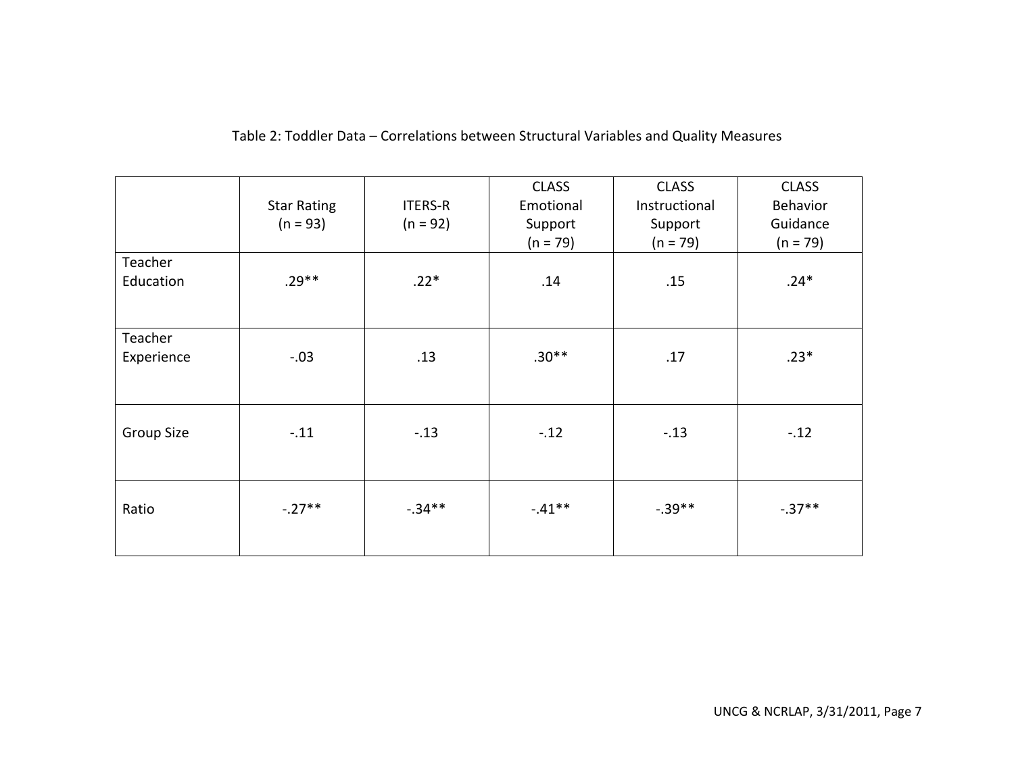|                       | <b>Star Rating</b><br>$(n = 93)$ | <b>ITERS-R</b><br>$(n = 92)$ | <b>CLASS</b><br>Emotional<br>Support<br>$(n = 79)$ | <b>CLASS</b><br>Instructional<br>Support<br>$(n = 79)$ | <b>CLASS</b><br>Behavior<br>Guidance<br>$(n = 79)$ |
|-----------------------|----------------------------------|------------------------------|----------------------------------------------------|--------------------------------------------------------|----------------------------------------------------|
| Teacher<br>Education  | $.29**$                          | $.22*$                       | .14                                                | .15                                                    | $.24*$                                             |
| Teacher<br>Experience | $-.03$                           | .13                          | $.30**$                                            | .17                                                    | $.23*$                                             |
| <b>Group Size</b>     | $-.11$                           | $-.13$                       | $-.12$                                             | $-.13$                                                 | $-.12$                                             |
| Ratio                 | $-.27***$                        | $-0.34**$                    | $-.41***$                                          | $-.39***$                                              | $-.37***$                                          |

# Table 2: Toddler Data – Correlations between Structural Variables and Quality Measures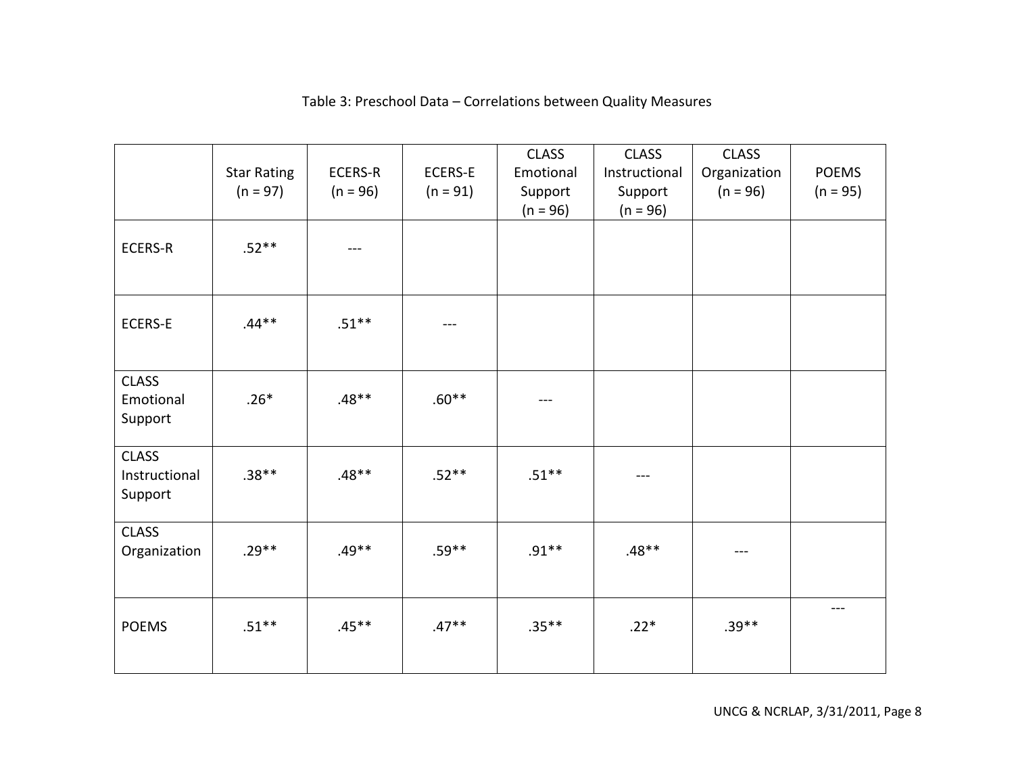#### Star Rating  $(n = 97)$ ECERS‐R  $(n = 96)$ ECERS‐E  $(n = 91)$ CLASS Emotional Support  $(n = 96)$ CLASS Instructional Support  $(n = 96)$ CLASS Organization  $(n = 96)$ POEMS  $(n = 95)$ ECERS‐R $.52***$  – – – ECERS‐E .44\*\* $.51***$  ––– CLASS Emotional Support .26\* $.48***$  .60\*\* |  $.50***$ CLASS Instructional Support .38\*\* .48\*\* .52\*\* .51\*\* ‐‐‐ CLASS Organization | .29\*\* | .49\*\* | .59\*\* | .91\*\* | .48\*\* | .48 POEMS .51\*\* .45\*\* .47\*\* .35\*\* .22\* .39\*\* ‐‐‐

# Table 3: Preschool Data – Correlations between Quality Measures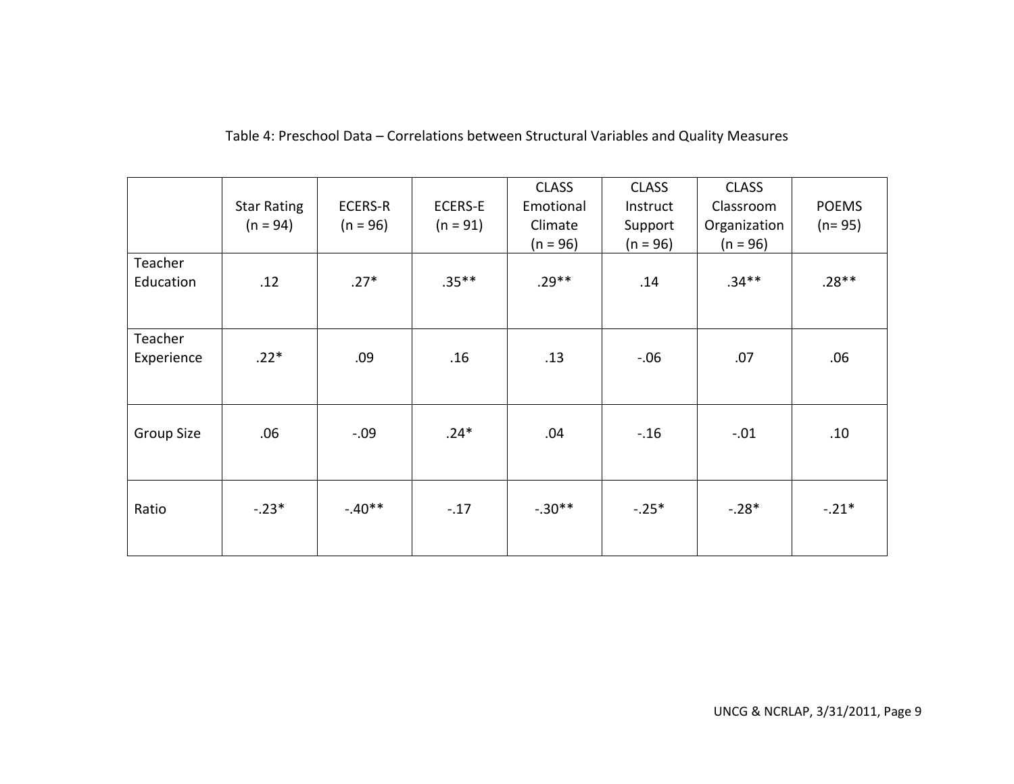|                       | <b>Star Rating</b><br>$(n = 94)$ | <b>ECERS-R</b><br>$(n = 96)$ | <b>ECERS-E</b><br>$(n = 91)$ | <b>CLASS</b><br>Emotional<br>Climate<br>$(n = 96)$ | <b>CLASS</b><br>Instruct<br>Support<br>$(n = 96)$ | <b>CLASS</b><br>Classroom<br>Organization<br>$(n = 96)$ | <b>POEMS</b><br>$(n=95)$ |
|-----------------------|----------------------------------|------------------------------|------------------------------|----------------------------------------------------|---------------------------------------------------|---------------------------------------------------------|--------------------------|
| Teacher<br>Education  | .12                              | $.27*$                       | $.35***$                     | $.29**$                                            | .14                                               | $.34**$                                                 | $.28**$                  |
| Teacher<br>Experience | $.22*$                           | .09                          | .16                          | .13                                                | $-.06$                                            | .07                                                     | .06                      |
| Group Size            | .06                              | $-.09$                       | $.24*$                       | .04                                                | $-.16$                                            | $-.01$                                                  | .10                      |
| Ratio                 | $-.23*$                          | $-.40**$                     | $-.17$                       | $-.30**$                                           | $-.25*$                                           | $-.28*$                                                 | $-.21*$                  |

Table 4: Preschool Data – Correlations between Structural Variables and Quality Measures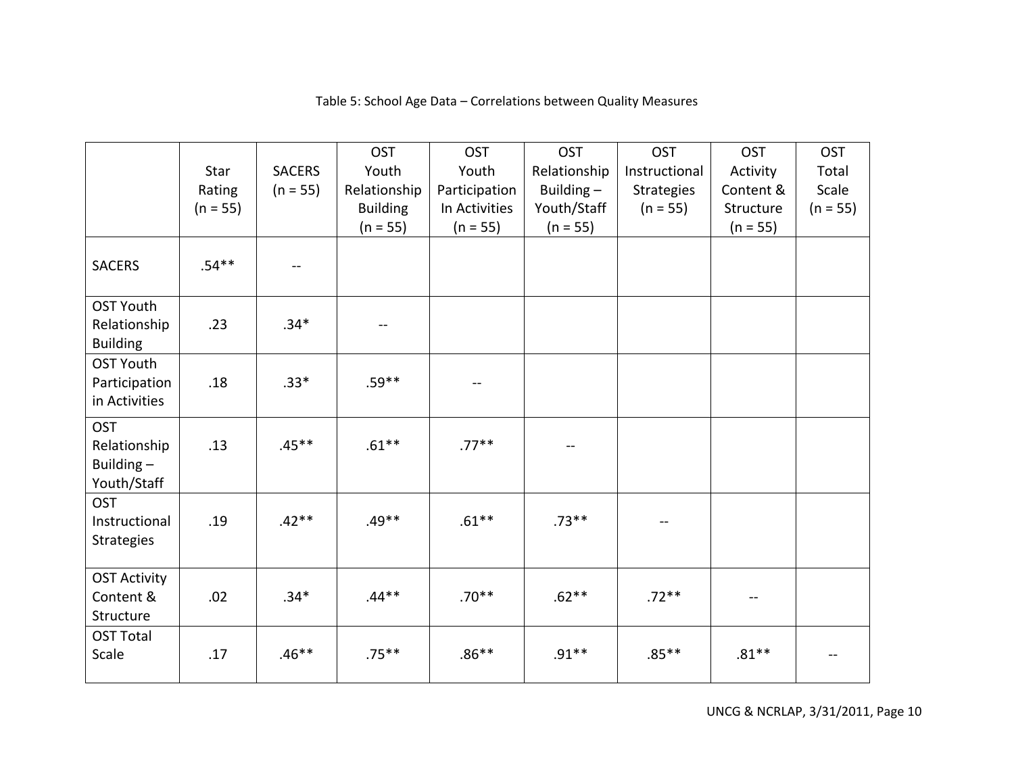|                                                        |            |               | <b>OST</b>      | <b>OST</b>    | <b>OST</b>   | <b>OST</b>        | <b>OST</b> | <b>OST</b> |
|--------------------------------------------------------|------------|---------------|-----------------|---------------|--------------|-------------------|------------|------------|
|                                                        | Star       | <b>SACERS</b> | Youth           | Youth         | Relationship | Instructional     | Activity   | Total      |
|                                                        | Rating     | $(n = 55)$    | Relationship    | Participation | Building-    | <b>Strategies</b> | Content &  | Scale      |
|                                                        | $(n = 55)$ |               | <b>Building</b> | In Activities | Youth/Staff  | $(n = 55)$        | Structure  | $(n = 55)$ |
|                                                        |            |               | $(n = 55)$      | $(n = 55)$    | $(n = 55)$   |                   | $(n = 55)$ |            |
| <b>SACERS</b>                                          | $.54**$    |               |                 |               |              |                   |            |            |
| <b>OST Youth</b>                                       |            |               |                 |               |              |                   |            |            |
| Relationship<br><b>Building</b>                        | .23        | $.34*$        | --              |               |              |                   |            |            |
| <b>OST Youth</b>                                       |            |               |                 |               |              |                   |            |            |
| Participation                                          | .18        | $.33*$        | $.59**$         | $-\!$ $\!-$   |              |                   |            |            |
| in Activities                                          |            |               |                 |               |              |                   |            |            |
| <b>OST</b><br>Relationship<br>Building-<br>Youth/Staff | .13        | $.45**$       | $.61**$         | $.77***$      |              |                   |            |            |
| <b>OST</b>                                             |            |               |                 |               |              |                   |            |            |
| Instructional                                          | .19        | $.42**$       | $.49**$         | $.61***$      | $.73**$      |                   |            |            |
| <b>Strategies</b>                                      |            |               |                 |               |              |                   |            |            |
| <b>OST Activity</b>                                    |            |               |                 |               |              |                   |            |            |
| Content &                                              | .02        | $.34*$        | $.44**$         | $.70**$       | $.62**$      | $.72**$           | $\sim$     |            |
| Structure                                              |            |               |                 |               |              |                   |            |            |
| <b>OST Total</b>                                       |            |               |                 |               |              |                   |            |            |
| Scale                                                  | .17        | $.46**$       | $.75***$        | $.86**$       | $.91**$      | $.85***$          | $.81***$   |            |
|                                                        |            |               |                 |               |              |                   |            |            |

#### Table 5: School Age Data – Correlations between Quality Measures

UNCG & NCRLAP, 3/31/2011, Page 10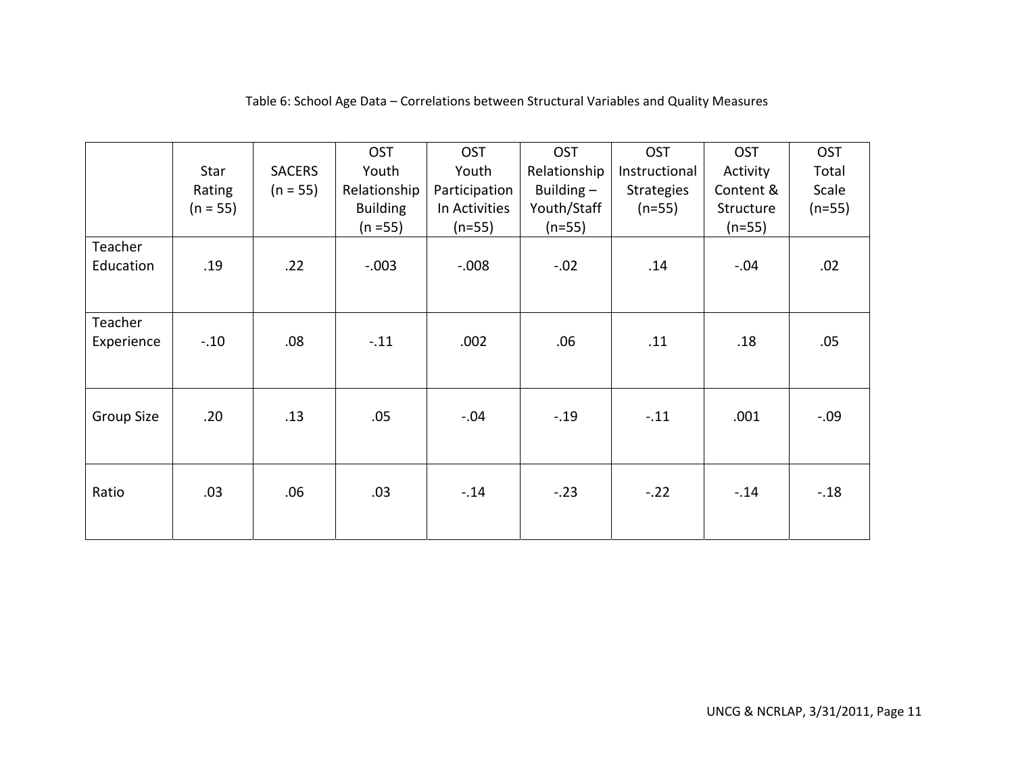|                       | Star<br>Rating<br>$(n = 55)$ | <b>SACERS</b><br>$(n = 55)$ | <b>OST</b><br>Youth<br>Relationship<br><b>Building</b><br>$(n = 55)$ | <b>OST</b><br>Youth<br>Participation<br>In Activities<br>$(n=55)$ | <b>OST</b><br>Relationship<br>Building $-$<br>Youth/Staff<br>$(n=55)$ | <b>OST</b><br>Instructional<br>Strategies<br>$(n=55)$ | <b>OST</b><br>Activity<br>Content &<br>Structure<br>$(n=55)$ | <b>OST</b><br>Total<br>Scale<br>$(n=55)$ |
|-----------------------|------------------------------|-----------------------------|----------------------------------------------------------------------|-------------------------------------------------------------------|-----------------------------------------------------------------------|-------------------------------------------------------|--------------------------------------------------------------|------------------------------------------|
| Teacher<br>Education  | .19                          | .22                         | $-.003$                                                              | $-0.008$                                                          | $-.02$                                                                | .14                                                   | $-.04$                                                       | .02                                      |
| Teacher<br>Experience | $-.10$                       | .08                         | $-.11$                                                               | .002                                                              | .06                                                                   | .11                                                   | .18                                                          | .05                                      |
| Group Size            | .20                          | .13                         | .05                                                                  | $-.04$                                                            | $-.19$                                                                | $-.11$                                                | .001                                                         | $-.09$                                   |
| Ratio                 | .03                          | .06                         | .03                                                                  | $-.14$                                                            | $-.23$                                                                | $-.22$                                                | $-.14$                                                       | $-.18$                                   |

### Table 6: School Age Data – Correlations between Structural Variables and Quality Measures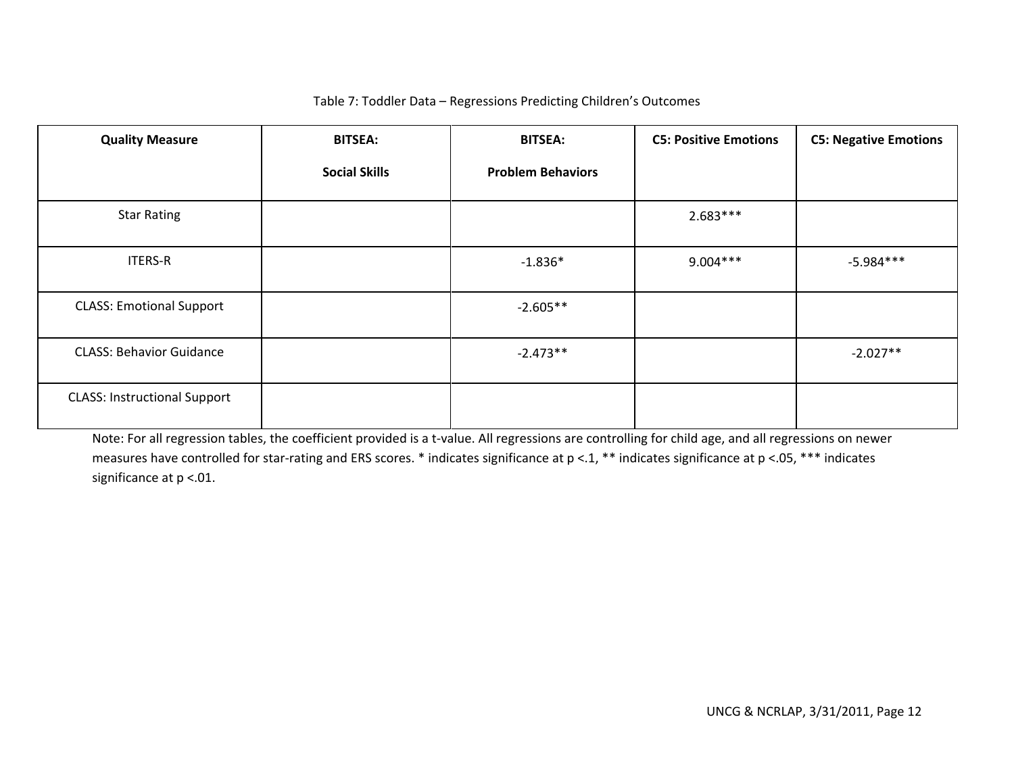# Table 7: Toddler Data – Regressions Predicting Children's Outcomes

| <b>Quality Measure</b>              | <b>BITSEA:</b>       | <b>BITSEA:</b>           | <b>C5: Positive Emotions</b> | <b>C5: Negative Emotions</b> |
|-------------------------------------|----------------------|--------------------------|------------------------------|------------------------------|
|                                     | <b>Social Skills</b> | <b>Problem Behaviors</b> |                              |                              |
| <b>Star Rating</b>                  |                      |                          | $2.683***$                   |                              |
| <b>ITERS-R</b>                      |                      | $-1.836*$                | $9.004***$                   | $-5.984***$                  |
| <b>CLASS: Emotional Support</b>     |                      | $-2.605**$               |                              |                              |
| <b>CLASS: Behavior Guidance</b>     |                      | $-2.473**$               |                              | $-2.027**$                   |
| <b>CLASS: Instructional Support</b> |                      |                          |                              |                              |

Note: For all regression tables, the coefficient provided is <sup>a</sup> <sup>t</sup>‐value. All regressions are controlling for child age, and all regressions on newer measures have controlled for star‐rating and ERS scores. \* indicates significance at p <.1, \*\* indicates significance at p <.05, \*\*\* indicates significance at p <.01.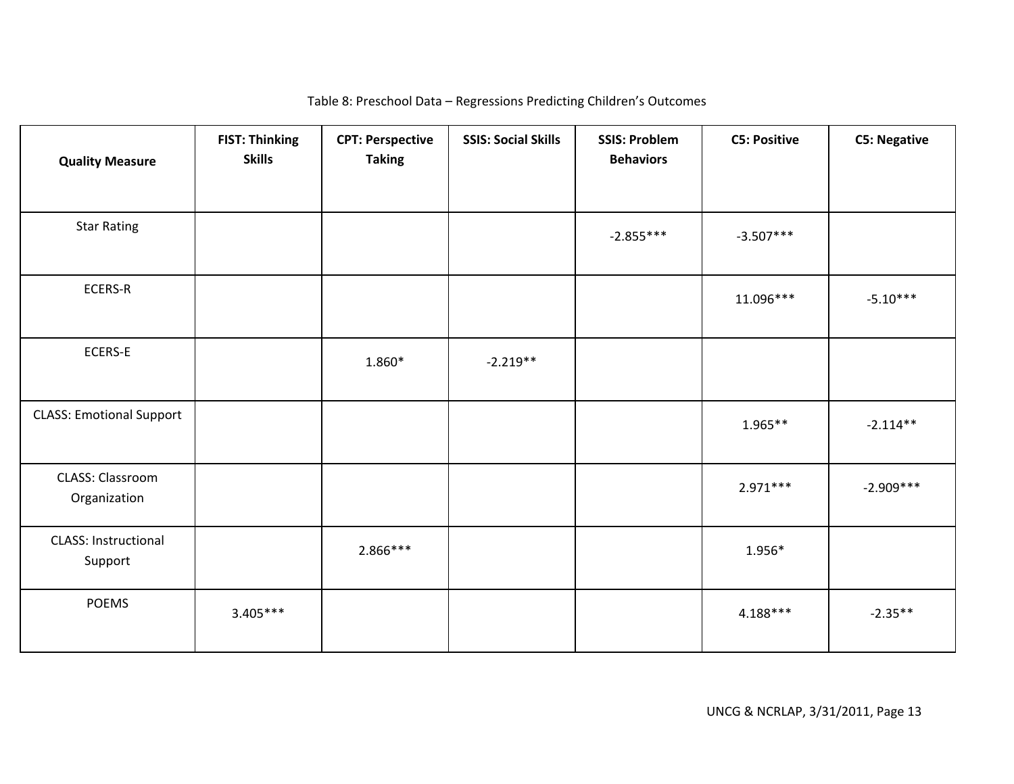| <b>Quality Measure</b>                 | <b>FIST: Thinking</b><br><b>Skills</b> | <b>CPT: Perspective</b><br><b>Taking</b> | <b>SSIS: Social Skills</b> | <b>SSIS: Problem</b><br><b>Behaviors</b> | <b>C5: Positive</b> | <b>C5: Negative</b> |
|----------------------------------------|----------------------------------------|------------------------------------------|----------------------------|------------------------------------------|---------------------|---------------------|
| <b>Star Rating</b>                     |                                        |                                          |                            | $-2.855***$                              | $-3.507***$         |                     |
| ECERS-R                                |                                        |                                          |                            |                                          | 11.096***           | $-5.10***$          |
| ECERS-E                                |                                        | 1.860*                                   | $-2.219**$                 |                                          |                     |                     |
| <b>CLASS: Emotional Support</b>        |                                        |                                          |                            |                                          | $1.965**$           | $-2.114**$          |
| CLASS: Classroom<br>Organization       |                                        |                                          |                            |                                          | $2.971***$          | $-2.909***$         |
| <b>CLASS: Instructional</b><br>Support |                                        | 2.866***                                 |                            |                                          | 1.956*              |                     |
| <b>POEMS</b>                           | $3.405***$                             |                                          |                            |                                          | $4.188***$          | $-2.35**$           |

### Table 8: Preschool Data – Regressions Predicting Children's Outcomes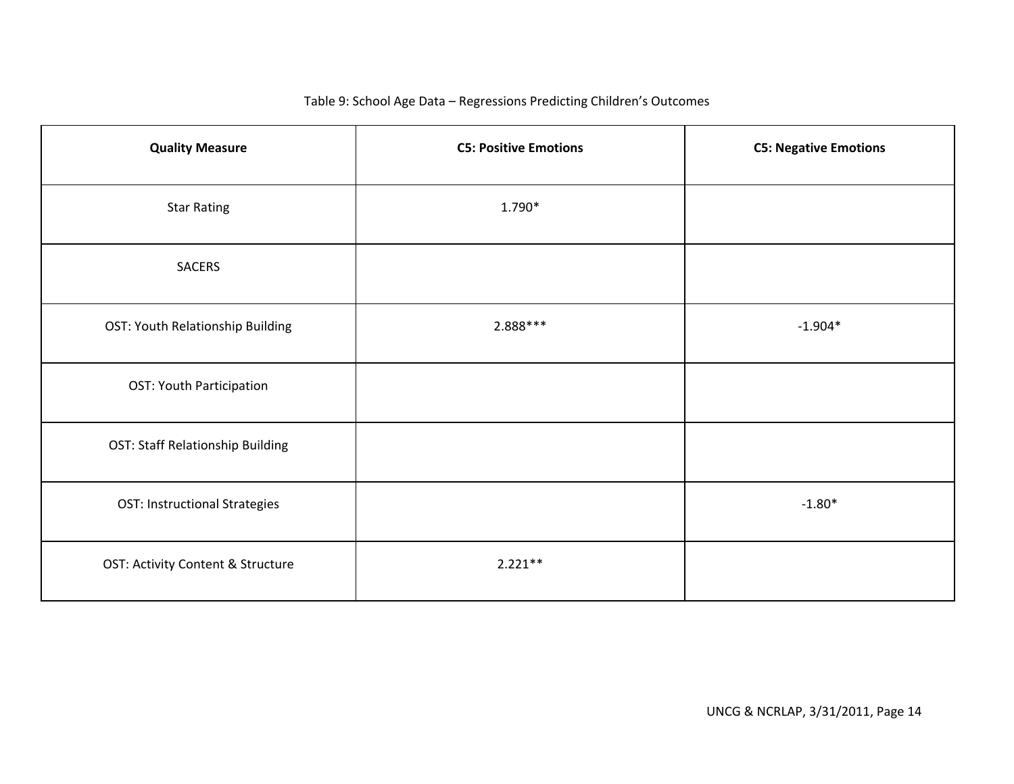### Table 9: School Age Data – Regressions Predicting Children's Outcomes

| <b>Quality Measure</b>                  | <b>C5: Positive Emotions</b> | <b>C5: Negative Emotions</b> |
|-----------------------------------------|------------------------------|------------------------------|
| <b>Star Rating</b>                      | 1.790*                       |                              |
| SACERS                                  |                              |                              |
| OST: Youth Relationship Building        | $2.888***$                   | $-1.904*$                    |
| OST: Youth Participation                |                              |                              |
| <b>OST: Staff Relationship Building</b> |                              |                              |
| <b>OST: Instructional Strategies</b>    |                              | $-1.80*$                     |
| OST: Activity Content & Structure       | $2.221**$                    |                              |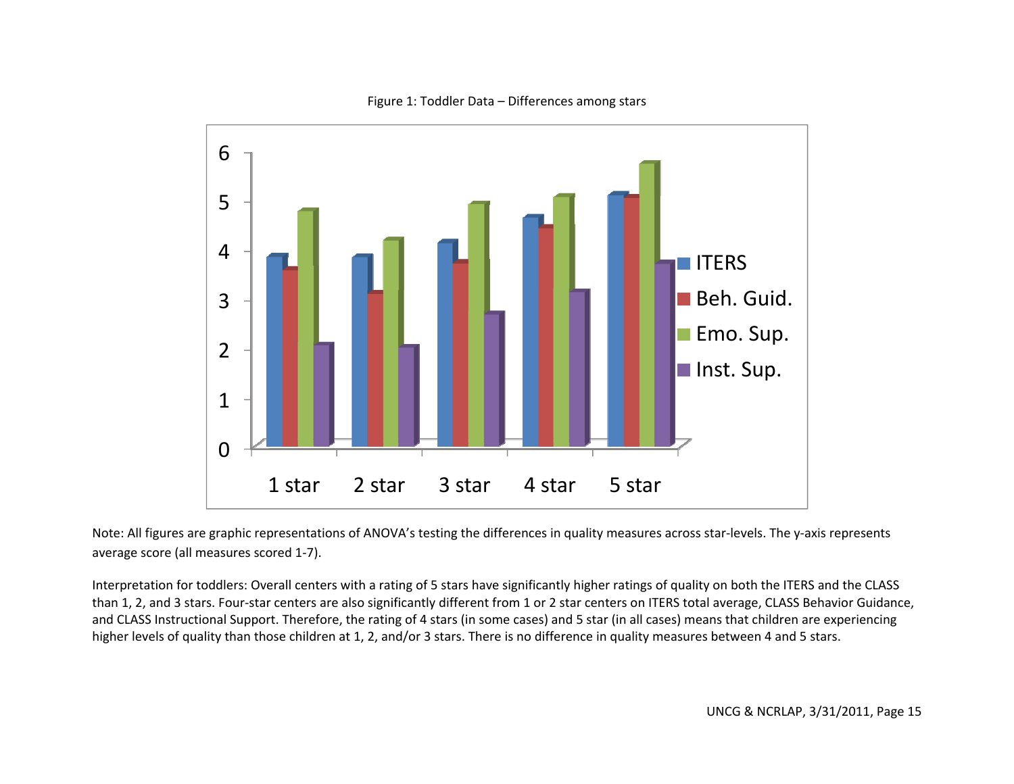

Figure 1: Toddler Data – Differences among stars

Note: All figures are graphic representations of ANOVA's testing the differences in quality measures across star‐levels. The y‐axis represents average score (all measures scored 1‐7).

Interpretation for toddlers: Overall centers with <sup>a</sup> rating of 5 stars have significantly higher ratings of quality on both the ITERS and the CLASS than 1, 2, and 3 stars. Four‐star centers are also significantly different from 1 or 2 star centers on ITERS total average, CLASS Behavior Guidance, and CLASS Instructional Support. Therefore, the rating of 4 stars (in some cases) and 5 star (in all cases) means that children are experiencing higher levels of quality than those children at 1, 2, and/or 3 stars. There is no difference in quality measures between 4 and 5 stars.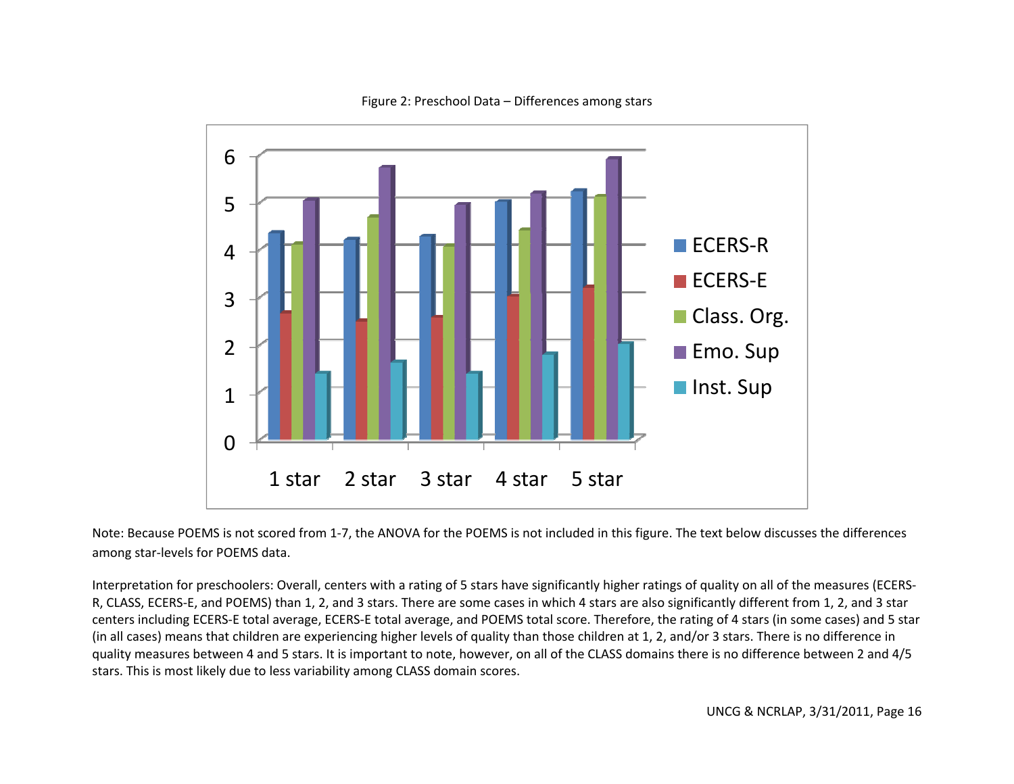

### Figure 2: Preschool Data – Differences among stars

Note: Because POEMS is not scored from 1‐7, the ANOVA for the POEMS is not included in this figure. The text below discusses the differences among star‐levels for POEMS data.

Interpretation for preschoolers: Overall, centers with <sup>a</sup> rating of 5 stars have significantly higher ratings of quality on all of the measures (ECERS‐ R, CLASS, ECERS‐E, and POEMS) than 1, 2, and 3 stars. There are some cases in which 4 stars are also significantly different from 1, 2, and 3 star centers including ECERS‐E total average, ECERS‐E total average, and POEMS total score. Therefore, the rating of 4 stars (in some cases) and 5 star (in all cases) means that children are experiencing higher levels of quality than those children at 1, 2, and/or 3 stars. There is no difference in quality measures between 4 and 5 stars. It is important to note, however, on all of the CLASS domains there is no difference between 2 and 4/5 stars. This is most likely due to less variability among CLASS domain scores.